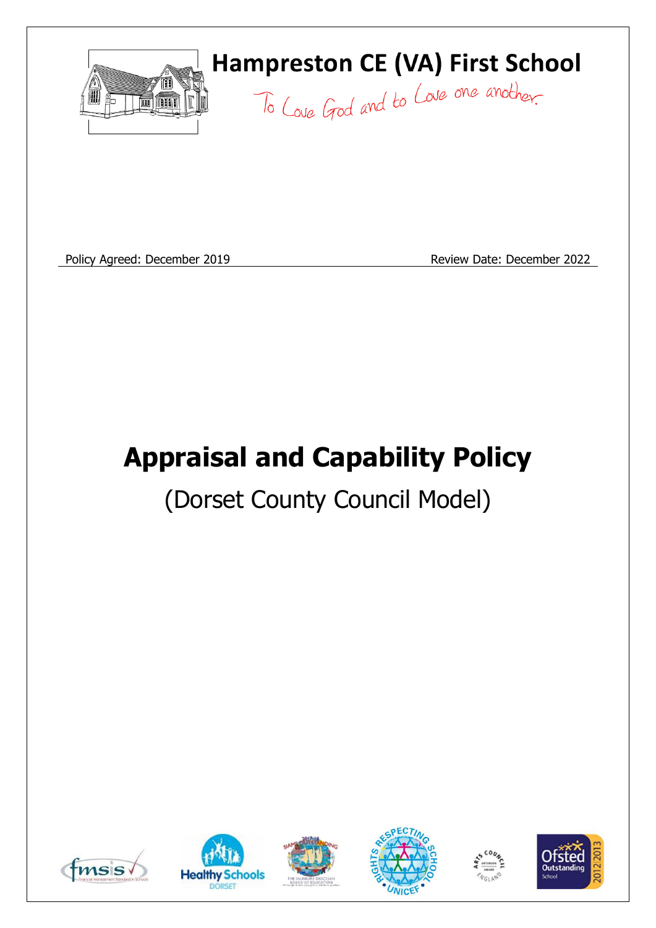

Policy Agreed: December 2019 **Review Date: December 2022** 

# **Appraisal and Capability Policy**

## (Dorset County Council Model)











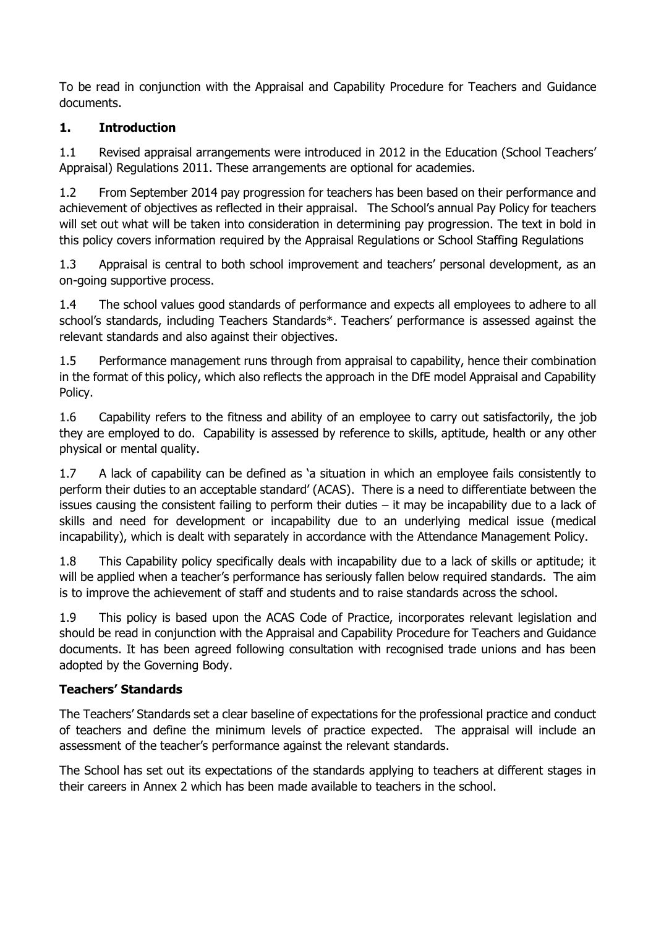To be read in conjunction with the Appraisal and Capability Procedure for Teachers and Guidance documents.

#### **1. Introduction**

1.1 Revised appraisal arrangements were introduced in 2012 in the Education (School Teachers' Appraisal) Regulations 2011. These arrangements are optional for academies.

1.2 From September 2014 pay progression for teachers has been based on their performance and achievement of objectives as reflected in their appraisal. The School's annual Pay Policy for teachers will set out what will be taken into consideration in determining pay progression. The text in bold in this policy covers information required by the Appraisal Regulations or School Staffing Regulations

1.3 Appraisal is central to both school improvement and teachers' personal development, as an on-going supportive process.

1.4 The school values good standards of performance and expects all employees to adhere to all school's standards, including Teachers Standards\*. Teachers' performance is assessed against the relevant standards and also against their objectives.

1.5 Performance management runs through from appraisal to capability, hence their combination in the format of this policy, which also reflects the approach in the DfE model Appraisal and Capability Policy.

1.6 Capability refers to the fitness and ability of an employee to carry out satisfactorily, the job they are employed to do. Capability is assessed by reference to skills, aptitude, health or any other physical or mental quality.

1.7 A lack of capability can be defined as 'a situation in which an employee fails consistently to perform their duties to an acceptable standard' (ACAS). There is a need to differentiate between the issues causing the consistent failing to perform their duties – it may be incapability due to a lack of skills and need for development or incapability due to an underlying medical issue (medical incapability), which is dealt with separately in accordance with the Attendance Management Policy.

1.8 This Capability policy specifically deals with incapability due to a lack of skills or aptitude; it will be applied when a teacher's performance has seriously fallen below required standards. The aim is to improve the achievement of staff and students and to raise standards across the school.

1.9 This policy is based upon the ACAS Code of Practice, incorporates relevant legislation and should be read in conjunction with the Appraisal and Capability Procedure for Teachers and Guidance documents. It has been agreed following consultation with recognised trade unions and has been adopted by the Governing Body.

#### **Teachers' Standards**

The Teachers' Standards set a clear baseline of expectations for the professional practice and conduct of teachers and define the minimum levels of practice expected. The appraisal will include an assessment of the teacher's performance against the relevant standards.

The School has set out its expectations of the standards applying to teachers at different stages in their careers in Annex 2 which has been made available to teachers in the school.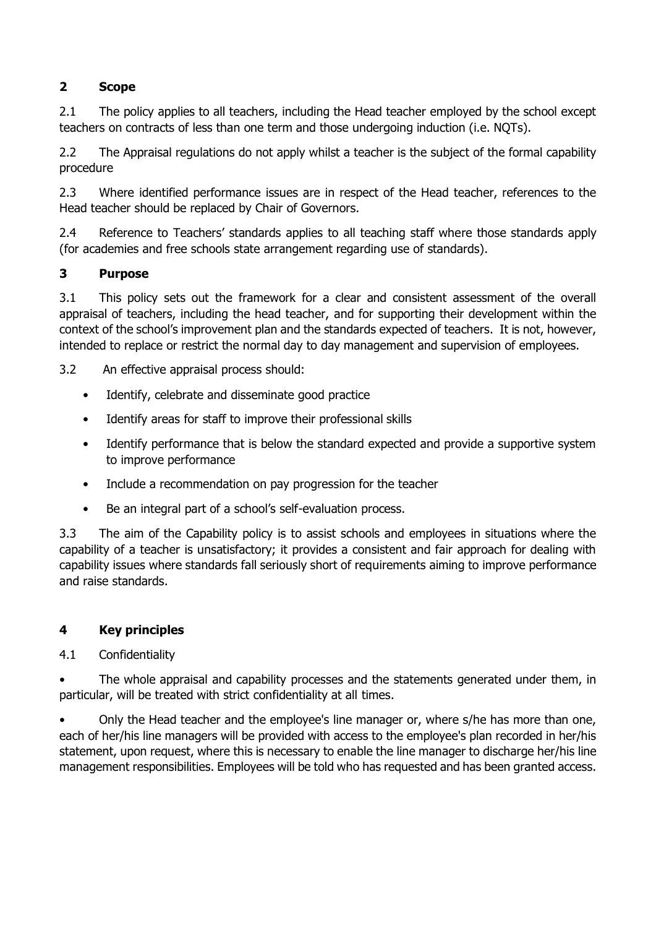#### **2 Scope**

2.1 The policy applies to all teachers, including the Head teacher employed by the school except teachers on contracts of less than one term and those undergoing induction (i.e. NQTs).

2.2 The Appraisal regulations do not apply whilst a teacher is the subject of the formal capability procedure

2.3 Where identified performance issues are in respect of the Head teacher, references to the Head teacher should be replaced by Chair of Governors.

2.4 Reference to Teachers' standards applies to all teaching staff where those standards apply (for academies and free schools state arrangement regarding use of standards).

#### **3 Purpose**

3.1 This policy sets out the framework for a clear and consistent assessment of the overall appraisal of teachers, including the head teacher, and for supporting their development within the context of the school's improvement plan and the standards expected of teachers. It is not, however, intended to replace or restrict the normal day to day management and supervision of employees.

3.2 An effective appraisal process should:

- Identify, celebrate and disseminate good practice
- Identify areas for staff to improve their professional skills
- Identify performance that is below the standard expected and provide a supportive system to improve performance
- Include a recommendation on pay progression for the teacher
- Be an integral part of a school's self-evaluation process.

3.3 The aim of the Capability policy is to assist schools and employees in situations where the capability of a teacher is unsatisfactory; it provides a consistent and fair approach for dealing with capability issues where standards fall seriously short of requirements aiming to improve performance and raise standards.

#### **4 Key principles**

#### 4.1 Confidentiality

• The whole appraisal and capability processes and the statements generated under them, in particular, will be treated with strict confidentiality at all times.

• Only the Head teacher and the employee's line manager or, where s/he has more than one, each of her/his line managers will be provided with access to the employee's plan recorded in her/his statement, upon request, where this is necessary to enable the line manager to discharge her/his line management responsibilities. Employees will be told who has requested and has been granted access.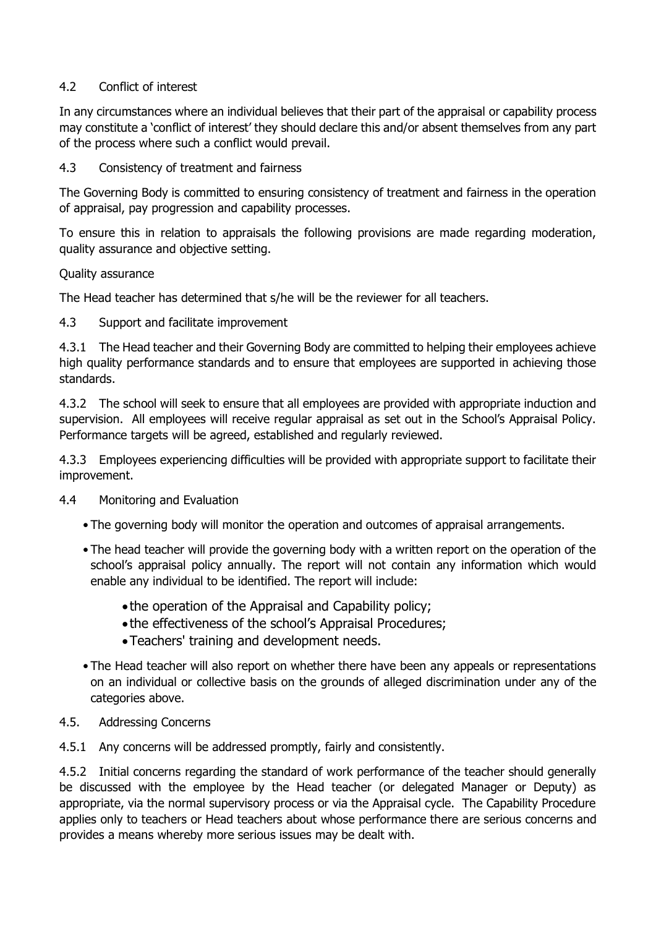#### 4.2 Conflict of interest

In any circumstances where an individual believes that their part of the appraisal or capability process may constitute a 'conflict of interest' they should declare this and/or absent themselves from any part of the process where such a conflict would prevail.

#### 4.3 Consistency of treatment and fairness

The Governing Body is committed to ensuring consistency of treatment and fairness in the operation of appraisal, pay progression and capability processes.

To ensure this in relation to appraisals the following provisions are made regarding moderation, quality assurance and objective setting.

#### Quality assurance

The Head teacher has determined that s/he will be the reviewer for all teachers.

#### 4.3 Support and facilitate improvement

4.3.1 The Head teacher and their Governing Body are committed to helping their employees achieve high quality performance standards and to ensure that employees are supported in achieving those standards.

4.3.2 The school will seek to ensure that all employees are provided with appropriate induction and supervision. All employees will receive regular appraisal as set out in the School's Appraisal Policy. Performance targets will be agreed, established and regularly reviewed.

4.3.3 Employees experiencing difficulties will be provided with appropriate support to facilitate their improvement.

#### 4.4 Monitoring and Evaluation

- The governing body will monitor the operation and outcomes of appraisal arrangements.
- The head teacher will provide the governing body with a written report on the operation of the school's appraisal policy annually. The report will not contain any information which would enable any individual to be identified. The report will include:
	- the operation of the Appraisal and Capability policy;
	- the effectiveness of the school's Appraisal Procedures;
	- •Teachers' training and development needs.
- The Head teacher will also report on whether there have been any appeals or representations on an individual or collective basis on the grounds of alleged discrimination under any of the categories above.
- 4.5. Addressing Concerns
- 4.5.1 Any concerns will be addressed promptly, fairly and consistently.

4.5.2 Initial concerns regarding the standard of work performance of the teacher should generally be discussed with the employee by the Head teacher (or delegated Manager or Deputy) as appropriate, via the normal supervisory process or via the Appraisal cycle. The Capability Procedure applies only to teachers or Head teachers about whose performance there are serious concerns and provides a means whereby more serious issues may be dealt with.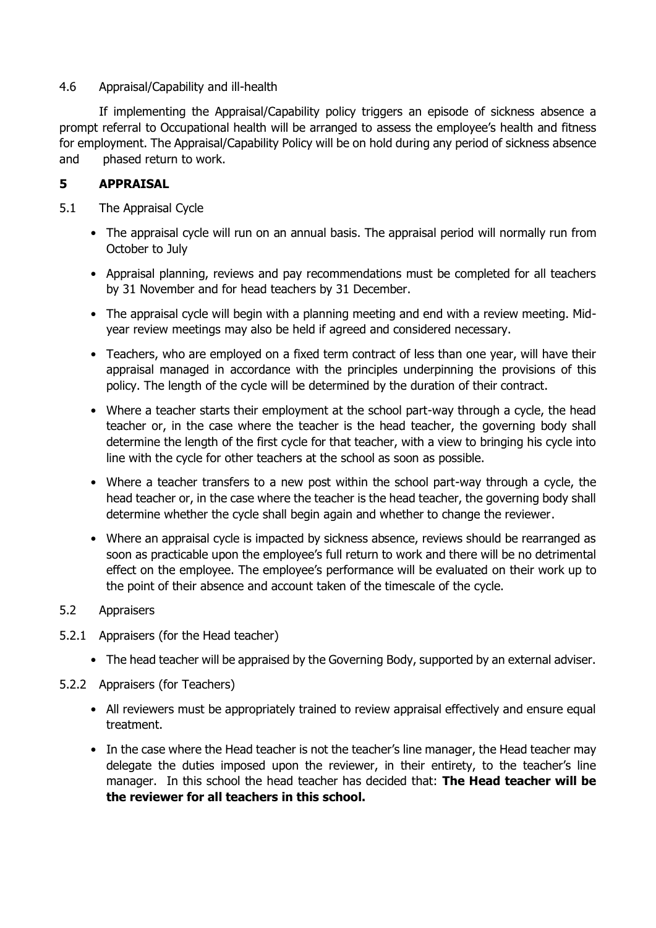#### 4.6 Appraisal/Capability and ill-health

If implementing the Appraisal/Capability policy triggers an episode of sickness absence a prompt referral to Occupational health will be arranged to assess the employee's health and fitness for employment. The Appraisal/Capability Policy will be on hold during any period of sickness absence and phased return to work.

#### **5 APPRAISAL**

- 5.1 The Appraisal Cycle
	- The appraisal cycle will run on an annual basis. The appraisal period will normally run from October to July
	- Appraisal planning, reviews and pay recommendations must be completed for all teachers by 31 November and for head teachers by 31 December.
	- The appraisal cycle will begin with a planning meeting and end with a review meeting. Midyear review meetings may also be held if agreed and considered necessary.
	- Teachers, who are employed on a fixed term contract of less than one year, will have their appraisal managed in accordance with the principles underpinning the provisions of this policy. The length of the cycle will be determined by the duration of their contract.
	- Where a teacher starts their employment at the school part-way through a cycle, the head teacher or, in the case where the teacher is the head teacher, the governing body shall determine the length of the first cycle for that teacher, with a view to bringing his cycle into line with the cycle for other teachers at the school as soon as possible.
	- Where a teacher transfers to a new post within the school part-way through a cycle, the head teacher or, in the case where the teacher is the head teacher, the governing body shall determine whether the cycle shall begin again and whether to change the reviewer.
	- Where an appraisal cycle is impacted by sickness absence, reviews should be rearranged as soon as practicable upon the employee's full return to work and there will be no detrimental effect on the employee. The employee's performance will be evaluated on their work up to the point of their absence and account taken of the timescale of the cycle.

#### 5.2 Appraisers

- 5.2.1 Appraisers (for the Head teacher)
	- The head teacher will be appraised by the Governing Body, supported by an external adviser.
- 5.2.2 Appraisers (for Teachers)
	- All reviewers must be appropriately trained to review appraisal effectively and ensure equal treatment.
	- In the case where the Head teacher is not the teacher's line manager, the Head teacher may delegate the duties imposed upon the reviewer, in their entirety, to the teacher's line manager. In this school the head teacher has decided that: **The Head teacher will be the reviewer for all teachers in this school.**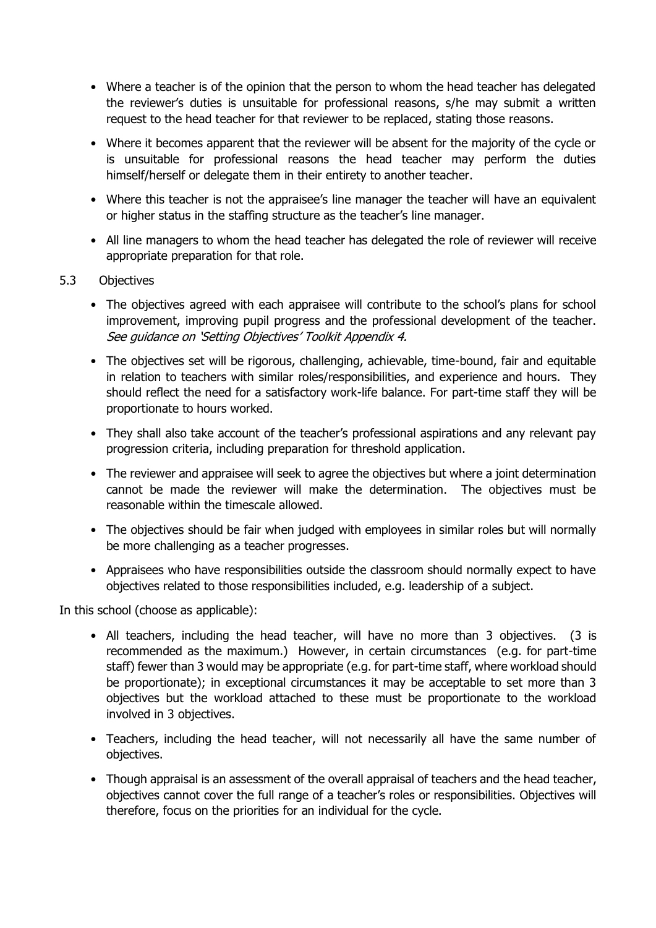- Where a teacher is of the opinion that the person to whom the head teacher has delegated the reviewer's duties is unsuitable for professional reasons, s/he may submit a written request to the head teacher for that reviewer to be replaced, stating those reasons.
- Where it becomes apparent that the reviewer will be absent for the majority of the cycle or is unsuitable for professional reasons the head teacher may perform the duties himself/herself or delegate them in their entirety to another teacher.
- Where this teacher is not the appraisee's line manager the teacher will have an equivalent or higher status in the staffing structure as the teacher's line manager.
- All line managers to whom the head teacher has delegated the role of reviewer will receive appropriate preparation for that role.
- 5.3 Objectives
	- The objectives agreed with each appraisee will contribute to the school's plans for school improvement, improving pupil progress and the professional development of the teacher. See guidance on 'Setting Objectives' Toolkit Appendix 4.
	- The objectives set will be rigorous, challenging, achievable, time-bound, fair and equitable in relation to teachers with similar roles/responsibilities, and experience and hours. They should reflect the need for a satisfactory work-life balance. For part-time staff they will be proportionate to hours worked.
	- They shall also take account of the teacher's professional aspirations and any relevant pay progression criteria, including preparation for threshold application.
	- The reviewer and appraisee will seek to agree the objectives but where a joint determination cannot be made the reviewer will make the determination. The objectives must be reasonable within the timescale allowed.
	- The objectives should be fair when judged with employees in similar roles but will normally be more challenging as a teacher progresses.
	- Appraisees who have responsibilities outside the classroom should normally expect to have objectives related to those responsibilities included, e.g. leadership of a subject.

In this school (choose as applicable):

- All teachers, including the head teacher, will have no more than 3 objectives. (3 is recommended as the maximum.) However, in certain circumstances (e.g. for part-time staff) fewer than 3 would may be appropriate (e.g. for part-time staff, where workload should be proportionate); in exceptional circumstances it may be acceptable to set more than 3 objectives but the workload attached to these must be proportionate to the workload involved in 3 objectives.
- Teachers, including the head teacher, will not necessarily all have the same number of objectives.
- Though appraisal is an assessment of the overall appraisal of teachers and the head teacher, objectives cannot cover the full range of a teacher's roles or responsibilities. Objectives will therefore, focus on the priorities for an individual for the cycle.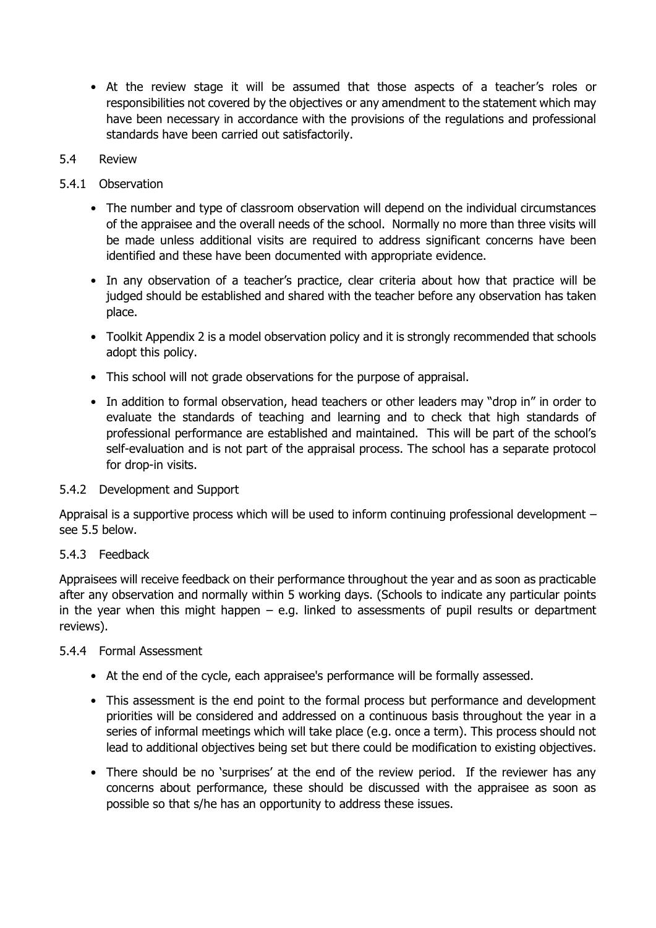• At the review stage it will be assumed that those aspects of a teacher's roles or responsibilities not covered by the objectives or any amendment to the statement which may have been necessary in accordance with the provisions of the regulations and professional standards have been carried out satisfactorily.

#### 5.4 Review

#### 5.4.1 Observation

- The number and type of classroom observation will depend on the individual circumstances of the appraisee and the overall needs of the school. Normally no more than three visits will be made unless additional visits are required to address significant concerns have been identified and these have been documented with appropriate evidence.
- In any observation of a teacher's practice, clear criteria about how that practice will be judged should be established and shared with the teacher before any observation has taken place.
- Toolkit Appendix 2 is a model observation policy and it is strongly recommended that schools adopt this policy.
- This school will not grade observations for the purpose of appraisal.
- In addition to formal observation, head teachers or other leaders may "drop in" in order to evaluate the standards of teaching and learning and to check that high standards of professional performance are established and maintained. This will be part of the school's self-evaluation and is not part of the appraisal process. The school has a separate protocol for drop-in visits.

#### 5.4.2 Development and Support

Appraisal is a supportive process which will be used to inform continuing professional development – see 5.5 below.

#### 5.4.3 Feedback

Appraisees will receive feedback on their performance throughout the year and as soon as practicable after any observation and normally within 5 working days. (Schools to indicate any particular points in the year when this might happen  $-$  e.g. linked to assessments of pupil results or department reviews).

#### 5.4.4 Formal Assessment

- At the end of the cycle, each appraisee's performance will be formally assessed.
- This assessment is the end point to the formal process but performance and development priorities will be considered and addressed on a continuous basis throughout the year in a series of informal meetings which will take place (e.g. once a term). This process should not lead to additional objectives being set but there could be modification to existing objectives.
- There should be no 'surprises' at the end of the review period. If the reviewer has any concerns about performance, these should be discussed with the appraisee as soon as possible so that s/he has an opportunity to address these issues.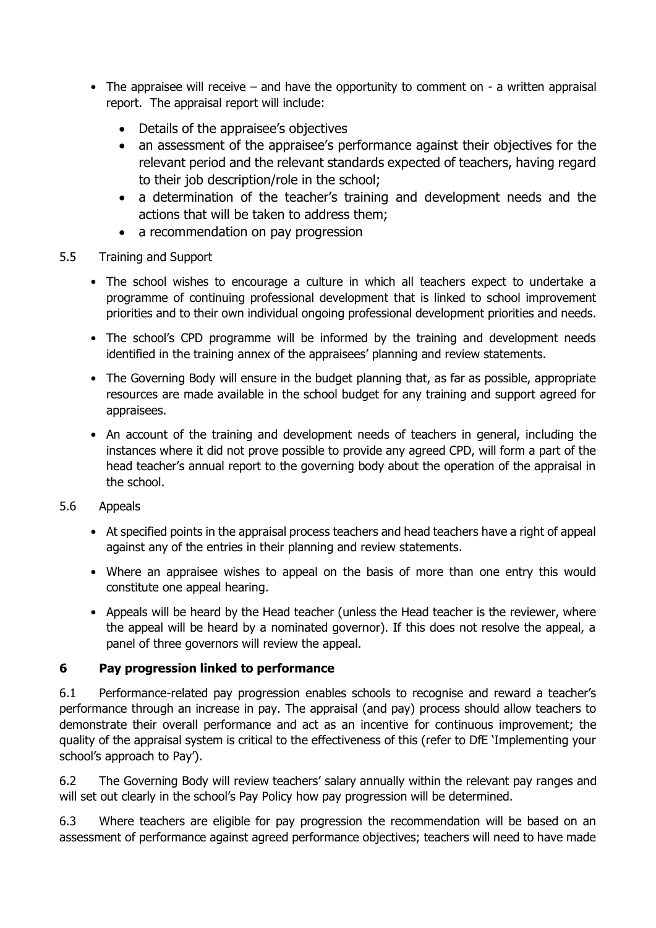- The appraisee will receive  $-$  and have the opportunity to comment on  $-$  a written appraisal report. The appraisal report will include:
	- Details of the appraisee's objectives
	- an assessment of the appraisee's performance against their objectives for the relevant period and the relevant standards expected of teachers, having regard to their job description/role in the school;
	- a determination of the teacher's training and development needs and the actions that will be taken to address them;
	- a recommendation on pay progression
- 5.5 Training and Support
	- The school wishes to encourage a culture in which all teachers expect to undertake a programme of continuing professional development that is linked to school improvement priorities and to their own individual ongoing professional development priorities and needs.
	- The school's CPD programme will be informed by the training and development needs identified in the training annex of the appraisees' planning and review statements.
	- The Governing Body will ensure in the budget planning that, as far as possible, appropriate resources are made available in the school budget for any training and support agreed for appraisees.
	- An account of the training and development needs of teachers in general, including the instances where it did not prove possible to provide any agreed CPD, will form a part of the head teacher's annual report to the governing body about the operation of the appraisal in the school.
- 5.6 Appeals
	- At specified points in the appraisal process teachers and head teachers have a right of appeal against any of the entries in their planning and review statements.
	- Where an appraisee wishes to appeal on the basis of more than one entry this would constitute one appeal hearing.
	- Appeals will be heard by the Head teacher (unless the Head teacher is the reviewer, where the appeal will be heard by a nominated governor). If this does not resolve the appeal, a panel of three governors will review the appeal.

#### **6 Pay progression linked to performance**

6.1 Performance-related pay progression enables schools to recognise and reward a teacher's performance through an increase in pay. The appraisal (and pay) process should allow teachers to demonstrate their overall performance and act as an incentive for continuous improvement; the quality of the appraisal system is critical to the effectiveness of this (refer to DfE 'Implementing your school's approach to Pay').

6.2 The Governing Body will review teachers' salary annually within the relevant pay ranges and will set out clearly in the school's Pay Policy how pay progression will be determined.

6.3 Where teachers are eligible for pay progression the recommendation will be based on an assessment of performance against agreed performance objectives; teachers will need to have made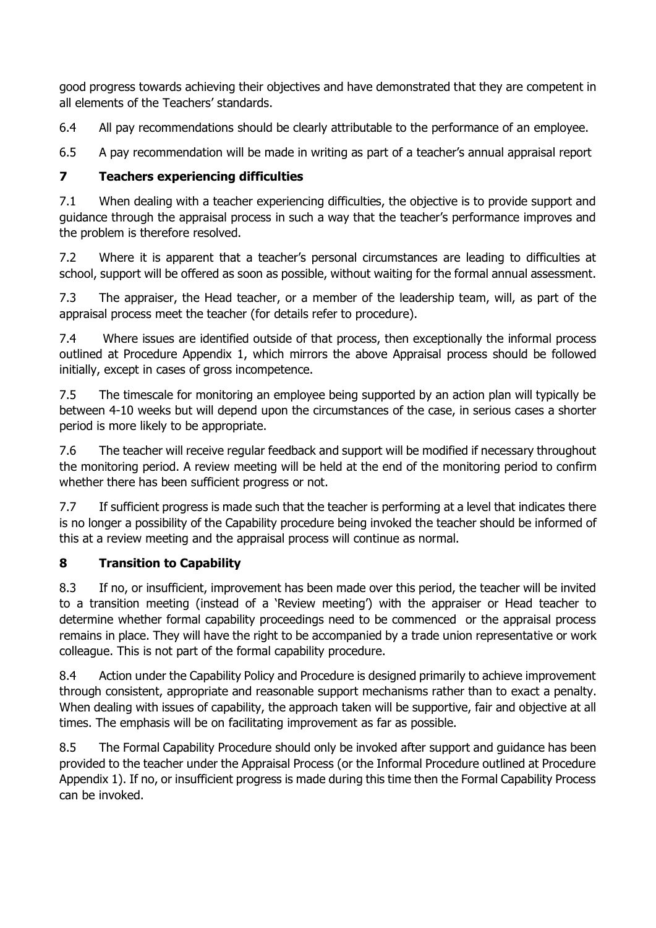good progress towards achieving their objectives and have demonstrated that they are competent in all elements of the Teachers' standards.

6.4 All pay recommendations should be clearly attributable to the performance of an employee.

6.5 A pay recommendation will be made in writing as part of a teacher's annual appraisal report

#### **7 Teachers experiencing difficulties**

7.1 When dealing with a teacher experiencing difficulties, the objective is to provide support and guidance through the appraisal process in such a way that the teacher's performance improves and the problem is therefore resolved.

7.2 Where it is apparent that a teacher's personal circumstances are leading to difficulties at school, support will be offered as soon as possible, without waiting for the formal annual assessment.

7.3 The appraiser, the Head teacher, or a member of the leadership team, will, as part of the appraisal process meet the teacher (for details refer to procedure).

7.4 Where issues are identified outside of that process, then exceptionally the informal process outlined at Procedure Appendix 1, which mirrors the above Appraisal process should be followed initially, except in cases of gross incompetence.

7.5 The timescale for monitoring an employee being supported by an action plan will typically be between 4-10 weeks but will depend upon the circumstances of the case, in serious cases a shorter period is more likely to be appropriate.

7.6 The teacher will receive regular feedback and support will be modified if necessary throughout the monitoring period. A review meeting will be held at the end of the monitoring period to confirm whether there has been sufficient progress or not.

7.7 If sufficient progress is made such that the teacher is performing at a level that indicates there is no longer a possibility of the Capability procedure being invoked the teacher should be informed of this at a review meeting and the appraisal process will continue as normal.

#### **8 Transition to Capability**

8.3 If no, or insufficient, improvement has been made over this period, the teacher will be invited to a transition meeting (instead of a 'Review meeting') with the appraiser or Head teacher to determine whether formal capability proceedings need to be commenced or the appraisal process remains in place. They will have the right to be accompanied by a trade union representative or work colleague. This is not part of the formal capability procedure.

8.4 Action under the Capability Policy and Procedure is designed primarily to achieve improvement through consistent, appropriate and reasonable support mechanisms rather than to exact a penalty. When dealing with issues of capability, the approach taken will be supportive, fair and objective at all times. The emphasis will be on facilitating improvement as far as possible.

8.5 The Formal Capability Procedure should only be invoked after support and guidance has been provided to the teacher under the Appraisal Process (or the Informal Procedure outlined at Procedure Appendix 1). If no, or insufficient progress is made during this time then the Formal Capability Process can be invoked.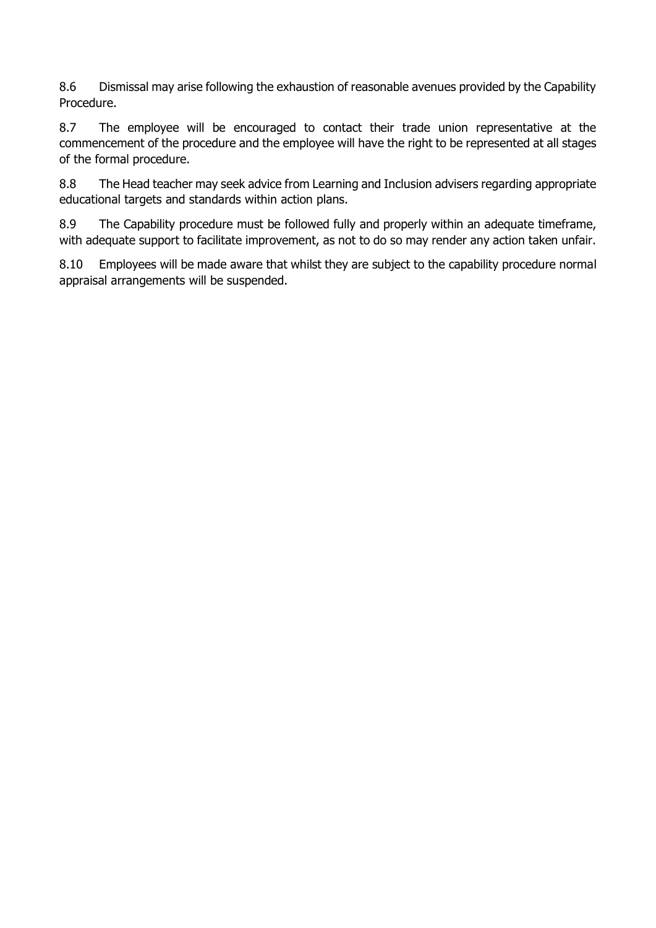8.6 Dismissal may arise following the exhaustion of reasonable avenues provided by the Capability Procedure.

8.7 The employee will be encouraged to contact their trade union representative at the commencement of the procedure and the employee will have the right to be represented at all stages of the formal procedure.

8.8 The Head teacher may seek advice from Learning and Inclusion advisers regarding appropriate educational targets and standards within action plans.

8.9 The Capability procedure must be followed fully and properly within an adequate timeframe, with adequate support to facilitate improvement, as not to do so may render any action taken unfair.

8.10 Employees will be made aware that whilst they are subject to the capability procedure normal appraisal arrangements will be suspended.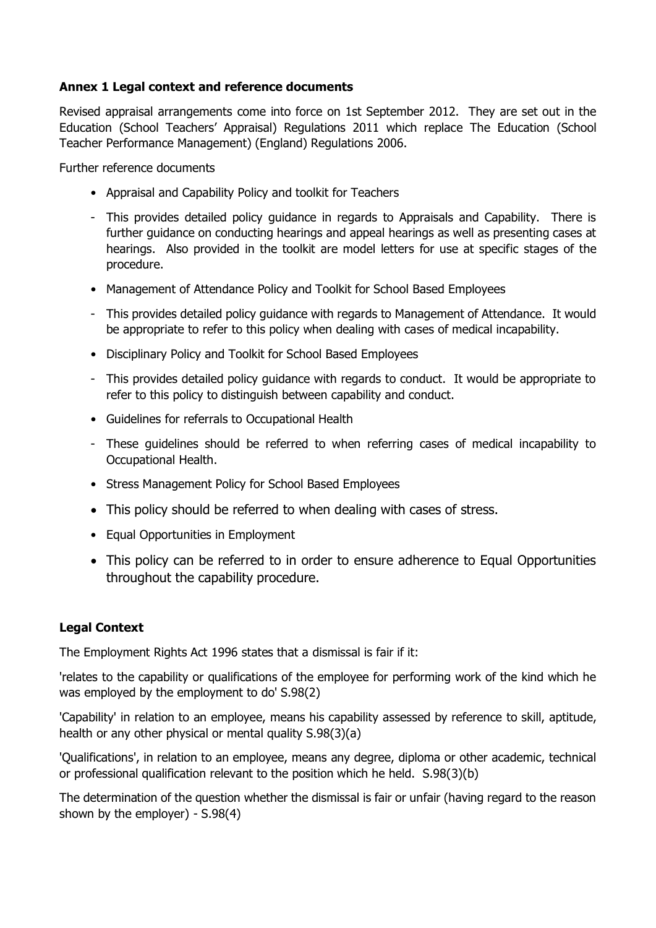#### **Annex 1 Legal context and reference documents**

Revised appraisal arrangements come into force on 1st September 2012. They are set out in the Education (School Teachers' Appraisal) Regulations 2011 which replace The Education (School Teacher Performance Management) (England) Regulations 2006.

Further reference documents

- Appraisal and Capability Policy and toolkit for Teachers
- This provides detailed policy guidance in regards to Appraisals and Capability. There is further guidance on conducting hearings and appeal hearings as well as presenting cases at hearings. Also provided in the toolkit are model letters for use at specific stages of the procedure.
- Management of Attendance Policy and Toolkit for School Based Employees
- This provides detailed policy guidance with regards to Management of Attendance. It would be appropriate to refer to this policy when dealing with cases of medical incapability.
- Disciplinary Policy and Toolkit for School Based Employees
- This provides detailed policy guidance with regards to conduct. It would be appropriate to refer to this policy to distinguish between capability and conduct.
- Guidelines for referrals to Occupational Health
- These guidelines should be referred to when referring cases of medical incapability to Occupational Health.
- Stress Management Policy for School Based Employees
- This policy should be referred to when dealing with cases of stress.
- Equal Opportunities in Employment
- This policy can be referred to in order to ensure adherence to Equal Opportunities throughout the capability procedure.

#### **Legal Context**

The Employment Rights Act 1996 states that a dismissal is fair if it:

'relates to the capability or qualifications of the employee for performing work of the kind which he was employed by the employment to do' S.98(2)

'Capability' in relation to an employee, means his capability assessed by reference to skill, aptitude, health or any other physical or mental quality S.98(3)(a)

'Qualifications', in relation to an employee, means any degree, diploma or other academic, technical or professional qualification relevant to the position which he held. S.98(3)(b)

The determination of the question whether the dismissal is fair or unfair (having regard to the reason shown by the employer) - S.98(4)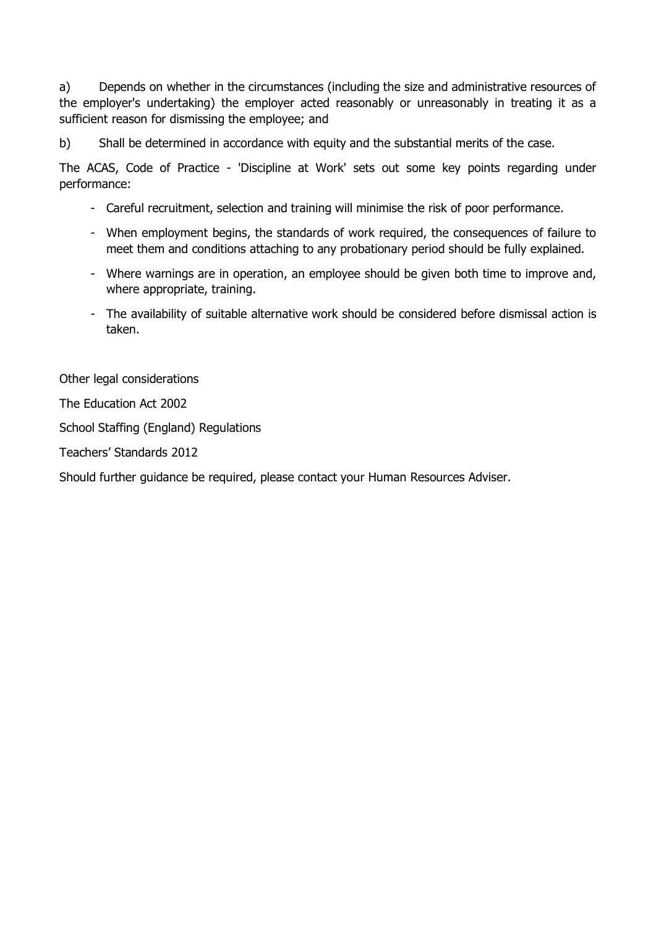a) Depends on whether in the circumstances (including the size and administrative resources of the employer's undertaking) the employer acted reasonably or unreasonably in treating it as a sufficient reason for dismissing the employee; and

b) Shall be determined in accordance with equity and the substantial merits of the case.

The ACAS, Code of Practice - 'Discipline at Work' sets out some key points regarding under performance:

- Careful recruitment, selection and training will minimise the risk of poor performance.
- When employment begins, the standards of work required, the consequences of failure to meet them and conditions attaching to any probationary period should be fully explained.
- Where warnings are in operation, an employee should be given both time to improve and, where appropriate, training.
- The availability of suitable alternative work should be considered before dismissal action is taken.

Other legal considerations

The Education Act 2002

School Staffing (England) Regulations

Teachers' Standards 2012

Should further guidance be required, please contact your Human Resources Adviser.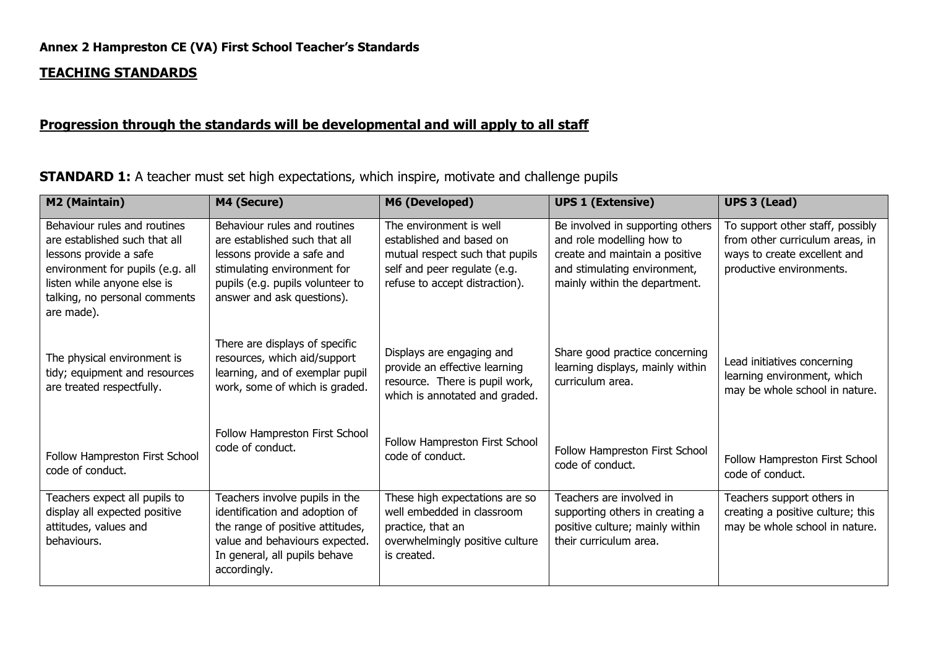#### **TEACHING STANDARDS**

#### **Progression through the standards will be developmental and will apply to all staff**

**STANDARD 1:** A teacher must set high expectations, which inspire, motivate and challenge pupils

| M2 (Maintain)                                                                                                                                                                                             | M4 (Secure)                                                                                                                                                                                  | M6 (Developed)                                                                                                                                           | <b>UPS 1 (Extensive)</b>                                                                                                                                         | <b>UPS 3 (Lead)</b>                                                                                                             |
|-----------------------------------------------------------------------------------------------------------------------------------------------------------------------------------------------------------|----------------------------------------------------------------------------------------------------------------------------------------------------------------------------------------------|----------------------------------------------------------------------------------------------------------------------------------------------------------|------------------------------------------------------------------------------------------------------------------------------------------------------------------|---------------------------------------------------------------------------------------------------------------------------------|
| Behaviour rules and routines<br>are established such that all<br>lessons provide a safe<br>environment for pupils (e.g. all<br>listen while anyone else is<br>talking, no personal comments<br>are made). | Behaviour rules and routines<br>are established such that all<br>lessons provide a safe and<br>stimulating environment for<br>pupils (e.g. pupils volunteer to<br>answer and ask questions). | The environment is well<br>established and based on<br>mutual respect such that pupils<br>self and peer regulate (e.g.<br>refuse to accept distraction). | Be involved in supporting others<br>and role modelling how to<br>create and maintain a positive<br>and stimulating environment,<br>mainly within the department. | To support other staff, possibly<br>from other curriculum areas, in<br>ways to create excellent and<br>productive environments. |
| The physical environment is<br>tidy; equipment and resources<br>are treated respectfully.                                                                                                                 | There are displays of specific<br>resources, which aid/support<br>learning, and of exemplar pupil<br>work, some of which is graded.                                                          | Displays are engaging and<br>provide an effective learning<br>resource. There is pupil work,<br>which is annotated and graded.                           | Share good practice concerning<br>learning displays, mainly within<br>curriculum area.                                                                           | Lead initiatives concerning<br>learning environment, which<br>may be whole school in nature.                                    |
| Follow Hampreston First School<br>code of conduct.                                                                                                                                                        | Follow Hampreston First School<br>code of conduct.                                                                                                                                           | Follow Hampreston First School<br>code of conduct.                                                                                                       | Follow Hampreston First School<br>code of conduct.                                                                                                               | Follow Hampreston First School<br>code of conduct.                                                                              |
| Teachers expect all pupils to<br>display all expected positive<br>attitudes, values and<br>behaviours.                                                                                                    | Teachers involve pupils in the<br>identification and adoption of<br>the range of positive attitudes,<br>value and behaviours expected.<br>In general, all pupils behave<br>accordingly.      | These high expectations are so<br>well embedded in classroom<br>practice, that an<br>overwhelmingly positive culture<br>is created.                      | Teachers are involved in<br>supporting others in creating a<br>positive culture; mainly within<br>their curriculum area.                                         | Teachers support others in<br>creating a positive culture; this<br>may be whole school in nature.                               |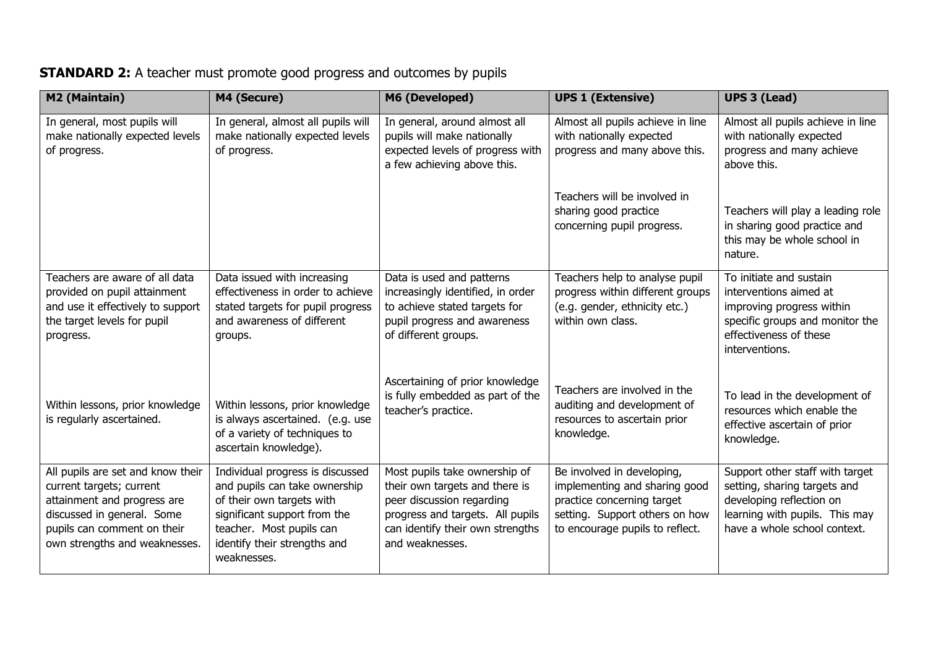## **STANDARD 2:** A teacher must promote good progress and outcomes by pupils

| M2 (Maintain)                                                                                                                                                                              | M4 (Secure)                                                                                                                                                                                               | M6 (Developed)                                                                                                                                                                          | <b>UPS 1 (Extensive)</b>                                                                                                                                       | <b>UPS 3 (Lead)</b>                                                                                                                                           |
|--------------------------------------------------------------------------------------------------------------------------------------------------------------------------------------------|-----------------------------------------------------------------------------------------------------------------------------------------------------------------------------------------------------------|-----------------------------------------------------------------------------------------------------------------------------------------------------------------------------------------|----------------------------------------------------------------------------------------------------------------------------------------------------------------|---------------------------------------------------------------------------------------------------------------------------------------------------------------|
| In general, most pupils will<br>make nationally expected levels<br>of progress.                                                                                                            | In general, almost all pupils will<br>make nationally expected levels<br>of progress.                                                                                                                     | In general, around almost all<br>pupils will make nationally<br>expected levels of progress with<br>a few achieving above this.                                                         | Almost all pupils achieve in line<br>with nationally expected<br>progress and many above this.                                                                 | Almost all pupils achieve in line<br>with nationally expected<br>progress and many achieve<br>above this.                                                     |
|                                                                                                                                                                                            |                                                                                                                                                                                                           |                                                                                                                                                                                         | Teachers will be involved in<br>sharing good practice<br>concerning pupil progress.                                                                            | Teachers will play a leading role<br>in sharing good practice and<br>this may be whole school in<br>nature.                                                   |
| Teachers are aware of all data<br>provided on pupil attainment<br>and use it effectively to support<br>the target levels for pupil<br>progress.                                            | Data issued with increasing<br>effectiveness in order to achieve<br>stated targets for pupil progress<br>and awareness of different<br>groups.                                                            | Data is used and patterns<br>increasingly identified, in order<br>to achieve stated targets for<br>pupil progress and awareness<br>of different groups.                                 | Teachers help to analyse pupil<br>progress within different groups<br>(e.g. gender, ethnicity etc.)<br>within own class.                                       | To initiate and sustain<br>interventions aimed at<br>improving progress within<br>specific groups and monitor the<br>effectiveness of these<br>interventions. |
| Within lessons, prior knowledge<br>is regularly ascertained.                                                                                                                               | Within lessons, prior knowledge<br>is always ascertained. (e.g. use<br>of a variety of techniques to<br>ascertain knowledge).                                                                             | Ascertaining of prior knowledge<br>is fully embedded as part of the<br>teacher's practice.                                                                                              | Teachers are involved in the<br>auditing and development of<br>resources to ascertain prior<br>knowledge.                                                      | To lead in the development of<br>resources which enable the<br>effective ascertain of prior<br>knowledge.                                                     |
| All pupils are set and know their<br>current targets; current<br>attainment and progress are<br>discussed in general. Some<br>pupils can comment on their<br>own strengths and weaknesses. | Individual progress is discussed<br>and pupils can take ownership<br>of their own targets with<br>significant support from the<br>teacher. Most pupils can<br>identify their strengths and<br>weaknesses. | Most pupils take ownership of<br>their own targets and there is<br>peer discussion regarding<br>progress and targets. All pupils<br>can identify their own strengths<br>and weaknesses. | Be involved in developing,<br>implementing and sharing good<br>practice concerning target<br>setting. Support others on how<br>to encourage pupils to reflect. | Support other staff with target<br>setting, sharing targets and<br>developing reflection on<br>learning with pupils. This may<br>have a whole school context. |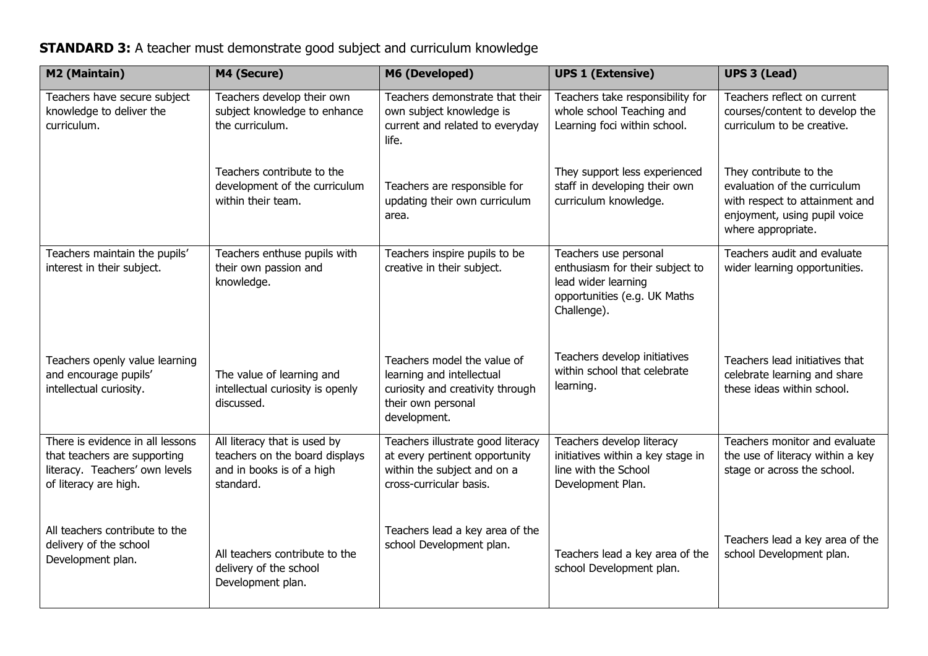| M2 (Maintain)                                                                                                               | M4 (Secure)                                                                                              | M6 (Developed)                                                                                                                     | <b>UPS 1 (Extensive)</b>                                                                                                       | <b>UPS 3 (Lead)</b>                                                                                                                            |
|-----------------------------------------------------------------------------------------------------------------------------|----------------------------------------------------------------------------------------------------------|------------------------------------------------------------------------------------------------------------------------------------|--------------------------------------------------------------------------------------------------------------------------------|------------------------------------------------------------------------------------------------------------------------------------------------|
| Teachers have secure subject<br>knowledge to deliver the<br>curriculum.                                                     | Teachers develop their own<br>subject knowledge to enhance<br>the curriculum.                            | Teachers demonstrate that their<br>own subject knowledge is<br>current and related to everyday<br>life.                            | Teachers take responsibility for<br>whole school Teaching and<br>Learning foci within school.                                  | Teachers reflect on current<br>courses/content to develop the<br>curriculum to be creative.                                                    |
|                                                                                                                             | Teachers contribute to the<br>development of the curriculum<br>within their team.                        | Teachers are responsible for<br>updating their own curriculum<br>area.                                                             | They support less experienced<br>staff in developing their own<br>curriculum knowledge.                                        | They contribute to the<br>evaluation of the curriculum<br>with respect to attainment and<br>enjoyment, using pupil voice<br>where appropriate. |
| Teachers maintain the pupils'<br>interest in their subject.                                                                 | Teachers enthuse pupils with<br>their own passion and<br>knowledge.                                      | Teachers inspire pupils to be<br>creative in their subject.                                                                        | Teachers use personal<br>enthusiasm for their subject to<br>lead wider learning<br>opportunities (e.g. UK Maths<br>Challenge). | Teachers audit and evaluate<br>wider learning opportunities.                                                                                   |
| Teachers openly value learning<br>and encourage pupils'<br>intellectual curiosity.                                          | The value of learning and<br>intellectual curiosity is openly<br>discussed.                              | Teachers model the value of<br>learning and intellectual<br>curiosity and creativity through<br>their own personal<br>development. | Teachers develop initiatives<br>within school that celebrate<br>learning.                                                      | Teachers lead initiatives that<br>celebrate learning and share<br>these ideas within school.                                                   |
| There is evidence in all lessons<br>that teachers are supporting<br>literacy. Teachers' own levels<br>of literacy are high. | All literacy that is used by<br>teachers on the board displays<br>and in books is of a high<br>standard. | Teachers illustrate good literacy<br>at every pertinent opportunity<br>within the subject and on a<br>cross-curricular basis.      | Teachers develop literacy<br>initiatives within a key stage in<br>line with the School<br>Development Plan.                    | Teachers monitor and evaluate<br>the use of literacy within a key<br>stage or across the school.                                               |
| All teachers contribute to the<br>delivery of the school<br>Development plan.                                               | All teachers contribute to the<br>delivery of the school<br>Development plan.                            | Teachers lead a key area of the<br>school Development plan.                                                                        | Teachers lead a key area of the<br>school Development plan.                                                                    | Teachers lead a key area of the<br>school Development plan.                                                                                    |

## **STANDARD 3:** A teacher must demonstrate good subject and curriculum knowledge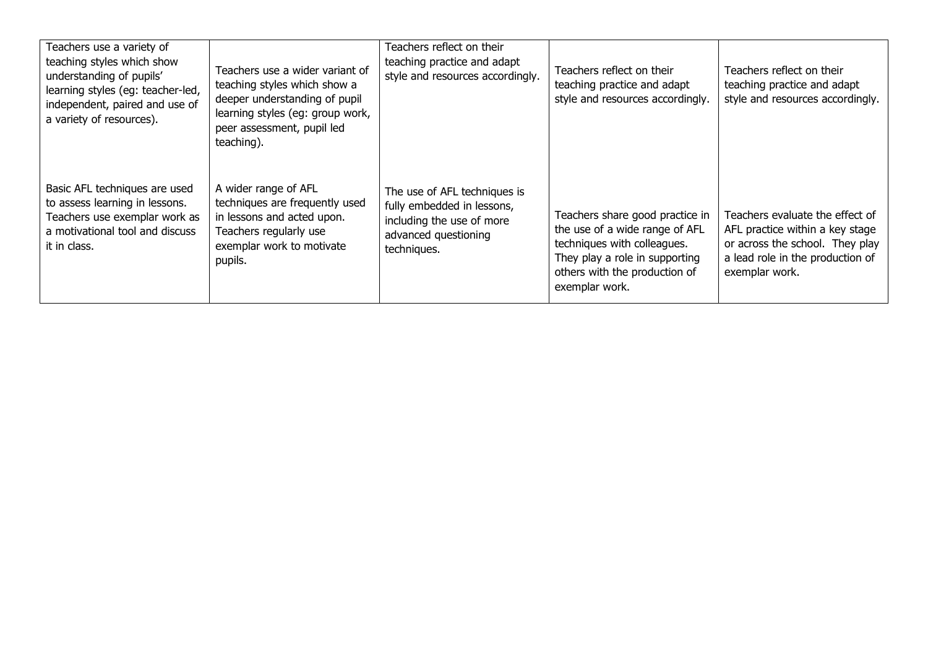| Teachers use a variety of<br>teaching styles which show<br>understanding of pupils'<br>learning styles (eg: teacher-led,<br>independent, paired and use of<br>a variety of resources). | Teachers use a wider variant of<br>teaching styles which show a<br>deeper understanding of pupil<br>learning styles (eg: group work,<br>peer assessment, pupil led<br>teaching). | Teachers reflect on their<br>teaching practice and adapt<br>style and resources accordingly.                                   | Teachers reflect on their<br>teaching practice and adapt<br>style and resources accordingly.                                                                                          | Teachers reflect on their<br>teaching practice and adapt<br>style and resources accordingly.                                                                |
|----------------------------------------------------------------------------------------------------------------------------------------------------------------------------------------|----------------------------------------------------------------------------------------------------------------------------------------------------------------------------------|--------------------------------------------------------------------------------------------------------------------------------|---------------------------------------------------------------------------------------------------------------------------------------------------------------------------------------|-------------------------------------------------------------------------------------------------------------------------------------------------------------|
| Basic AFL techniques are used<br>to assess learning in lessons.<br>Teachers use exemplar work as<br>a motivational tool and discuss<br>it in class.                                    | A wider range of AFL<br>techniques are frequently used<br>in lessons and acted upon.<br>Teachers regularly use<br>exemplar work to motivate<br>pupils.                           | The use of AFL techniques is<br>fully embedded in lessons,<br>including the use of more<br>advanced questioning<br>techniques. | Teachers share good practice in<br>the use of a wide range of AFL<br>techniques with colleagues.<br>They play a role in supporting<br>others with the production of<br>exemplar work. | Teachers evaluate the effect of<br>AFL practice within a key stage<br>or across the school. They play<br>a lead role in the production of<br>exemplar work. |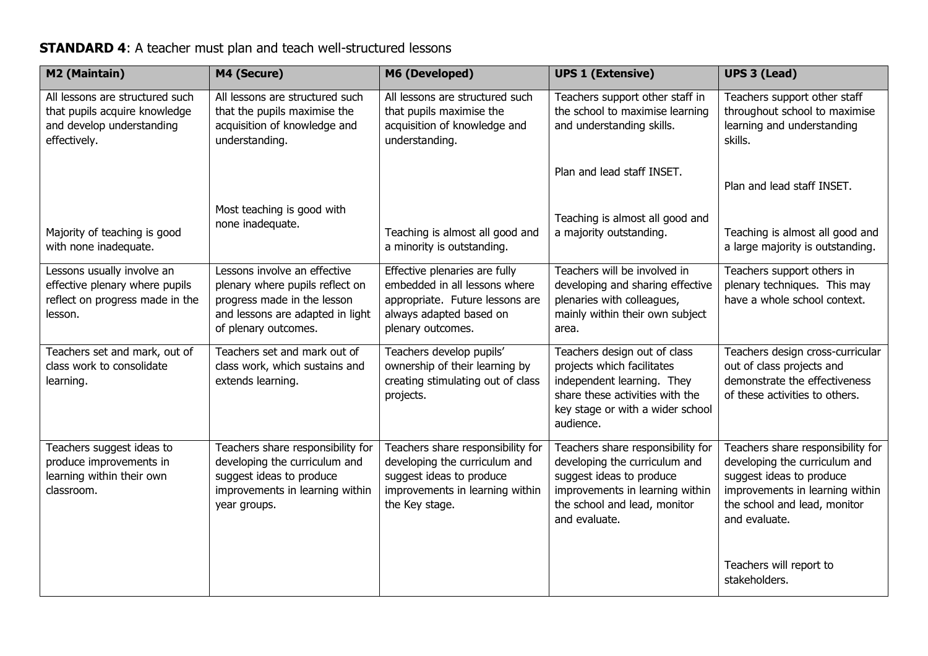## **STANDARD 4:** A teacher must plan and teach well-structured lessons

| M2 (Maintain)                                                                                                 | M4 (Secure)                                                                                                                                                | M6 (Developed)                                                                                                                                      | <b>UPS 1 (Extensive)</b>                                                                                                                                                           | <b>UPS 3 (Lead)</b>                                                                                                                                                                |
|---------------------------------------------------------------------------------------------------------------|------------------------------------------------------------------------------------------------------------------------------------------------------------|-----------------------------------------------------------------------------------------------------------------------------------------------------|------------------------------------------------------------------------------------------------------------------------------------------------------------------------------------|------------------------------------------------------------------------------------------------------------------------------------------------------------------------------------|
| All lessons are structured such<br>that pupils acquire knowledge<br>and develop understanding<br>effectively. | All lessons are structured such<br>that the pupils maximise the<br>acquisition of knowledge and<br>understanding.                                          | All lessons are structured such<br>that pupils maximise the<br>acquisition of knowledge and<br>understanding.                                       | Teachers support other staff in<br>the school to maximise learning<br>and understanding skills.                                                                                    | Teachers support other staff<br>throughout school to maximise<br>learning and understanding<br>skills.                                                                             |
|                                                                                                               |                                                                                                                                                            |                                                                                                                                                     | Plan and lead staff INSET.                                                                                                                                                         | Plan and lead staff INSET.                                                                                                                                                         |
| Majority of teaching is good<br>with none inadequate.                                                         | Most teaching is good with<br>none inadequate.                                                                                                             | Teaching is almost all good and<br>a minority is outstanding.                                                                                       | Teaching is almost all good and<br>a majority outstanding.                                                                                                                         | Teaching is almost all good and<br>a large majority is outstanding.                                                                                                                |
| Lessons usually involve an<br>effective plenary where pupils<br>reflect on progress made in the<br>lesson.    | Lessons involve an effective<br>plenary where pupils reflect on<br>progress made in the lesson<br>and lessons are adapted in light<br>of plenary outcomes. | Effective plenaries are fully<br>embedded in all lessons where<br>appropriate. Future lessons are<br>always adapted based on<br>plenary outcomes.   | Teachers will be involved in<br>developing and sharing effective<br>plenaries with colleagues,<br>mainly within their own subject<br>area.                                         | Teachers support others in<br>plenary techniques. This may<br>have a whole school context.                                                                                         |
| Teachers set and mark, out of<br>class work to consolidate<br>learning.                                       | Teachers set and mark out of<br>class work, which sustains and<br>extends learning.                                                                        | Teachers develop pupils'<br>ownership of their learning by<br>creating stimulating out of class<br>projects.                                        | Teachers design out of class<br>projects which facilitates<br>independent learning. They<br>share these activities with the<br>key stage or with a wider school<br>audience.       | Teachers design cross-curricular<br>out of class projects and<br>demonstrate the effectiveness<br>of these activities to others.                                                   |
| Teachers suggest ideas to<br>produce improvements in<br>learning within their own<br>classroom.               | Teachers share responsibility for<br>developing the curriculum and<br>suggest ideas to produce<br>improvements in learning within<br>year groups.          | Teachers share responsibility for<br>developing the curriculum and<br>suggest ideas to produce<br>improvements in learning within<br>the Key stage. | Teachers share responsibility for<br>developing the curriculum and<br>suggest ideas to produce<br>improvements in learning within<br>the school and lead, monitor<br>and evaluate. | Teachers share responsibility for<br>developing the curriculum and<br>suggest ideas to produce<br>improvements in learning within<br>the school and lead, monitor<br>and evaluate. |
|                                                                                                               |                                                                                                                                                            |                                                                                                                                                     |                                                                                                                                                                                    | Teachers will report to<br>stakeholders.                                                                                                                                           |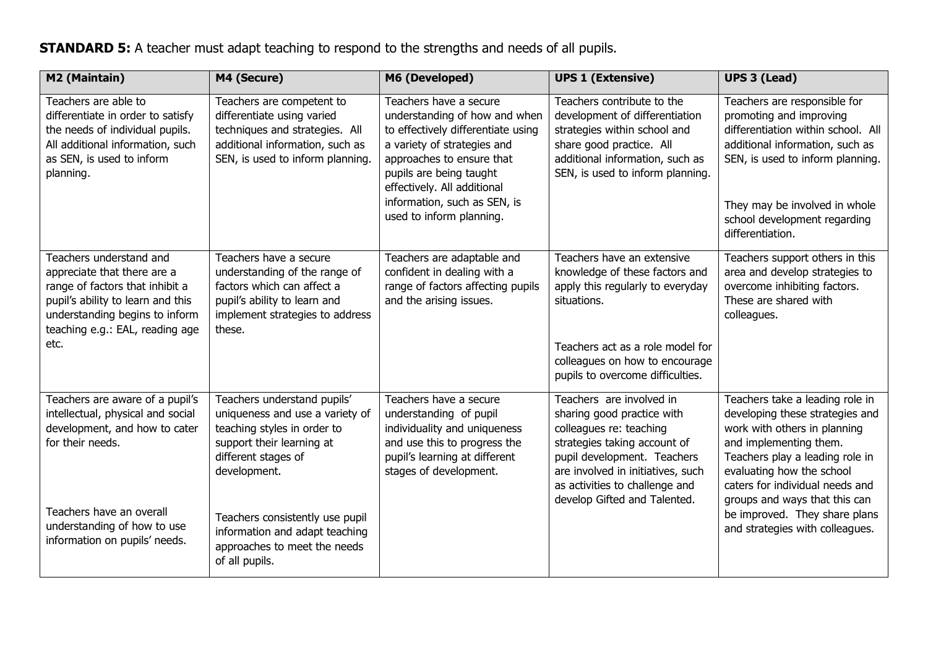## **STANDARD 5:** A teacher must adapt teaching to respond to the strengths and needs of all pupils.

| M2 (Maintain)                                                                                                                                                                                               | M4 (Secure)                                                                                                                                                        | M6 (Developed)                                                                                                                                                                                                                                                                  | <b>UPS 1 (Extensive)</b>                                                                                                                                                                                                  | <b>UPS 3 (Lead)</b>                                                                                                                                                                                                                                       |
|-------------------------------------------------------------------------------------------------------------------------------------------------------------------------------------------------------------|--------------------------------------------------------------------------------------------------------------------------------------------------------------------|---------------------------------------------------------------------------------------------------------------------------------------------------------------------------------------------------------------------------------------------------------------------------------|---------------------------------------------------------------------------------------------------------------------------------------------------------------------------------------------------------------------------|-----------------------------------------------------------------------------------------------------------------------------------------------------------------------------------------------------------------------------------------------------------|
| Teachers are able to<br>differentiate in order to satisfy<br>the needs of individual pupils.<br>All additional information, such<br>as SEN, is used to inform<br>planning.                                  | Teachers are competent to<br>differentiate using varied<br>techniques and strategies. All<br>additional information, such as<br>SEN, is used to inform planning.   | Teachers have a secure<br>understanding of how and when<br>to effectively differentiate using<br>a variety of strategies and<br>approaches to ensure that<br>pupils are being taught<br>effectively. All additional<br>information, such as SEN, is<br>used to inform planning. | Teachers contribute to the<br>development of differentiation<br>strategies within school and<br>share good practice. All<br>additional information, such as<br>SEN, is used to inform planning.                           | Teachers are responsible for<br>promoting and improving<br>differentiation within school. All<br>additional information, such as<br>SEN, is used to inform planning.<br>They may be involved in whole<br>school development regarding<br>differentiation. |
| Teachers understand and<br>appreciate that there are a<br>range of factors that inhibit a<br>pupil's ability to learn and this<br>understanding begins to inform<br>teaching e.g.: EAL, reading age<br>etc. | Teachers have a secure<br>understanding of the range of<br>factors which can affect a<br>pupil's ability to learn and<br>implement strategies to address<br>these. | Teachers are adaptable and<br>confident in dealing with a<br>range of factors affecting pupils<br>and the arising issues.                                                                                                                                                       | Teachers have an extensive<br>knowledge of these factors and<br>apply this regularly to everyday<br>situations.<br>Teachers act as a role model for<br>colleagues on how to encourage<br>pupils to overcome difficulties. | Teachers support others in this<br>area and develop strategies to<br>overcome inhibiting factors.<br>These are shared with<br>colleagues.                                                                                                                 |
| Teachers are aware of a pupil's<br>intellectual, physical and social<br>development, and how to cater<br>for their needs.                                                                                   | Teachers understand pupils'<br>uniqueness and use a variety of<br>teaching styles in order to<br>support their learning at<br>different stages of<br>development.  | Teachers have a secure<br>understanding of pupil<br>individuality and uniqueness<br>and use this to progress the<br>pupil's learning at different<br>stages of development.                                                                                                     | Teachers are involved in<br>sharing good practice with<br>colleagues re: teaching<br>strategies taking account of<br>pupil development. Teachers<br>are involved in initiatives, such<br>as activities to challenge and   | Teachers take a leading role in<br>developing these strategies and<br>work with others in planning<br>and implementing them.<br>Teachers play a leading role in<br>evaluating how the school<br>caters for individual needs and                           |
| Teachers have an overall<br>understanding of how to use<br>information on pupils' needs.                                                                                                                    | Teachers consistently use pupil<br>information and adapt teaching<br>approaches to meet the needs<br>of all pupils.                                                |                                                                                                                                                                                                                                                                                 | develop Gifted and Talented.                                                                                                                                                                                              | groups and ways that this can<br>be improved. They share plans<br>and strategies with colleagues.                                                                                                                                                         |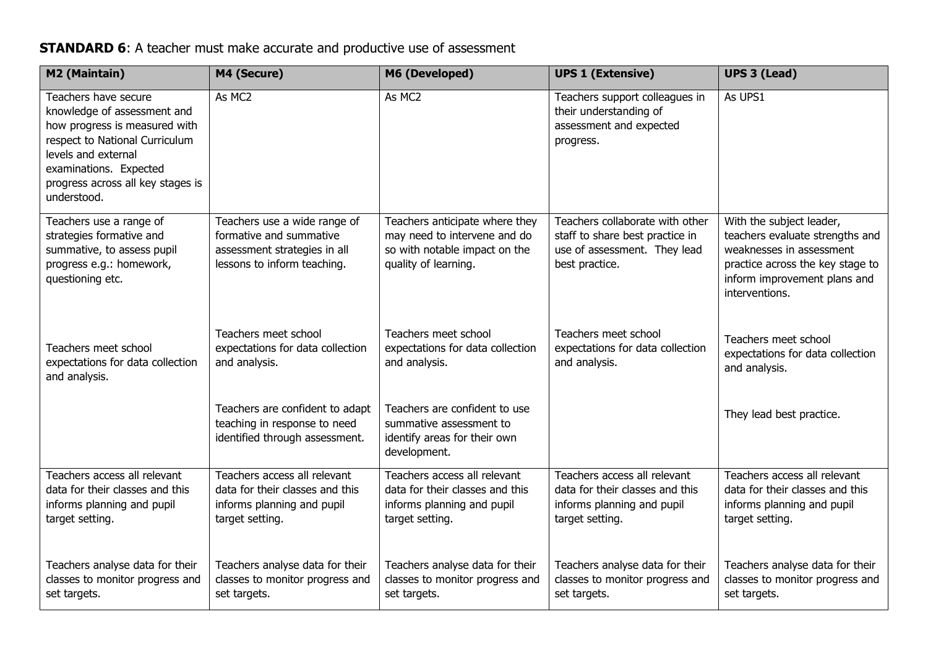## **STANDARD 6**: A teacher must make accurate and productive use of assessment

| M2 (Maintain)                                                                                                                                                                                                               | M4 (Secure)                                                                                                      | M6 (Developed)                                                                                                   | <b>UPS 1 (Extensive)</b>                                                                                         | <b>UPS 3 (Lead)</b>                                                                                                                               |
|-----------------------------------------------------------------------------------------------------------------------------------------------------------------------------------------------------------------------------|------------------------------------------------------------------------------------------------------------------|------------------------------------------------------------------------------------------------------------------|------------------------------------------------------------------------------------------------------------------|---------------------------------------------------------------------------------------------------------------------------------------------------|
| Teachers have secure<br>knowledge of assessment and<br>how progress is measured with<br>respect to National Curriculum<br>levels and external<br>examinations. Expected<br>progress across all key stages is<br>understood. | As MC2                                                                                                           | As MC2                                                                                                           | Teachers support colleagues in<br>their understanding of<br>assessment and expected<br>progress.                 | As UPS1                                                                                                                                           |
| Teachers use a range of                                                                                                                                                                                                     | Teachers use a wide range of                                                                                     | Teachers anticipate where they                                                                                   | Teachers collaborate with other                                                                                  | With the subject leader,                                                                                                                          |
| strategies formative and<br>summative, to assess pupil<br>progress e.g.: homework,<br>questioning etc.                                                                                                                      | formative and summative<br>assessment strategies in all<br>lessons to inform teaching.                           | may need to intervene and do<br>so with notable impact on the<br>quality of learning.                            | staff to share best practice in<br>use of assessment. They lead<br>best practice.                                | teachers evaluate strengths and<br>weaknesses in assessment<br>practice across the key stage to<br>inform improvement plans and<br>interventions. |
| Teachers meet school<br>expectations for data collection<br>and analysis.                                                                                                                                                   | Teachers meet school<br>expectations for data collection<br>and analysis.                                        | Teachers meet school<br>expectations for data collection<br>and analysis.                                        | Teachers meet school<br>expectations for data collection<br>and analysis.                                        | Teachers meet school<br>expectations for data collection<br>and analysis.                                                                         |
|                                                                                                                                                                                                                             | Teachers are confident to adapt<br>teaching in response to need<br>identified through assessment.                | Teachers are confident to use<br>summative assessment to<br>identify areas for their own<br>development.         |                                                                                                                  | They lead best practice.                                                                                                                          |
| Teachers access all relevant<br>data for their classes and this<br>informs planning and pupil<br>target setting.                                                                                                            | Teachers access all relevant<br>data for their classes and this<br>informs planning and pupil<br>target setting. | Teachers access all relevant<br>data for their classes and this<br>informs planning and pupil<br>target setting. | Teachers access all relevant<br>data for their classes and this<br>informs planning and pupil<br>target setting. | Teachers access all relevant<br>data for their classes and this<br>informs planning and pupil<br>target setting.                                  |
| Teachers analyse data for their<br>classes to monitor progress and<br>set targets.                                                                                                                                          | Teachers analyse data for their<br>classes to monitor progress and<br>set targets.                               | Teachers analyse data for their<br>classes to monitor progress and<br>set targets.                               | Teachers analyse data for their<br>classes to monitor progress and<br>set targets.                               | Teachers analyse data for their<br>classes to monitor progress and<br>set targets.                                                                |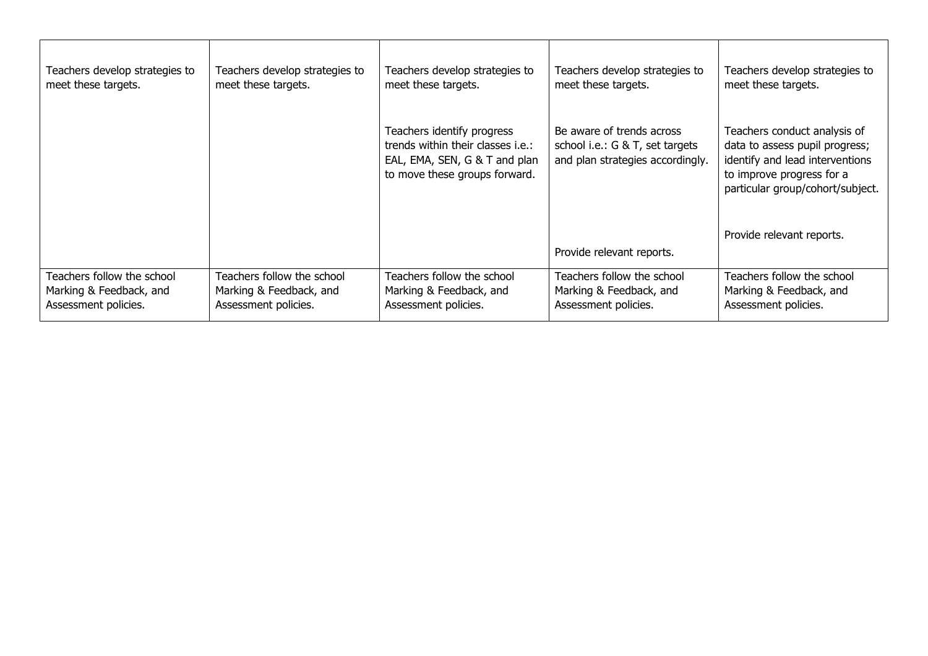| Teachers develop strategies to | Teachers develop strategies to | Teachers develop strategies to                                                                                                    | Teachers develop strategies to                                                                   | Teachers develop strategies to                                                                                                                                     |
|--------------------------------|--------------------------------|-----------------------------------------------------------------------------------------------------------------------------------|--------------------------------------------------------------------------------------------------|--------------------------------------------------------------------------------------------------------------------------------------------------------------------|
| meet these targets.            | meet these targets.            | meet these targets.                                                                                                               | meet these targets.                                                                              | meet these targets.                                                                                                                                                |
|                                |                                | Teachers identify progress<br>trends within their classes i.e.:<br>EAL, EMA, SEN, G & T and plan<br>to move these groups forward. | Be aware of trends across<br>school i.e.: G & T, set targets<br>and plan strategies accordingly. | Teachers conduct analysis of<br>data to assess pupil progress;<br>identify and lead interventions<br>to improve progress for a<br>particular group/cohort/subject. |
|                                |                                |                                                                                                                                   | Provide relevant reports.                                                                        | Provide relevant reports.                                                                                                                                          |
| Teachers follow the school     | Teachers follow the school     | Teachers follow the school                                                                                                        | Teachers follow the school                                                                       | Teachers follow the school                                                                                                                                         |
| Marking & Feedback, and        | Marking & Feedback, and        | Marking & Feedback, and                                                                                                           | Marking & Feedback, and                                                                          | Marking & Feedback, and                                                                                                                                            |
| Assessment policies.           | Assessment policies.           | Assessment policies.                                                                                                              | Assessment policies.                                                                             | Assessment policies.                                                                                                                                               |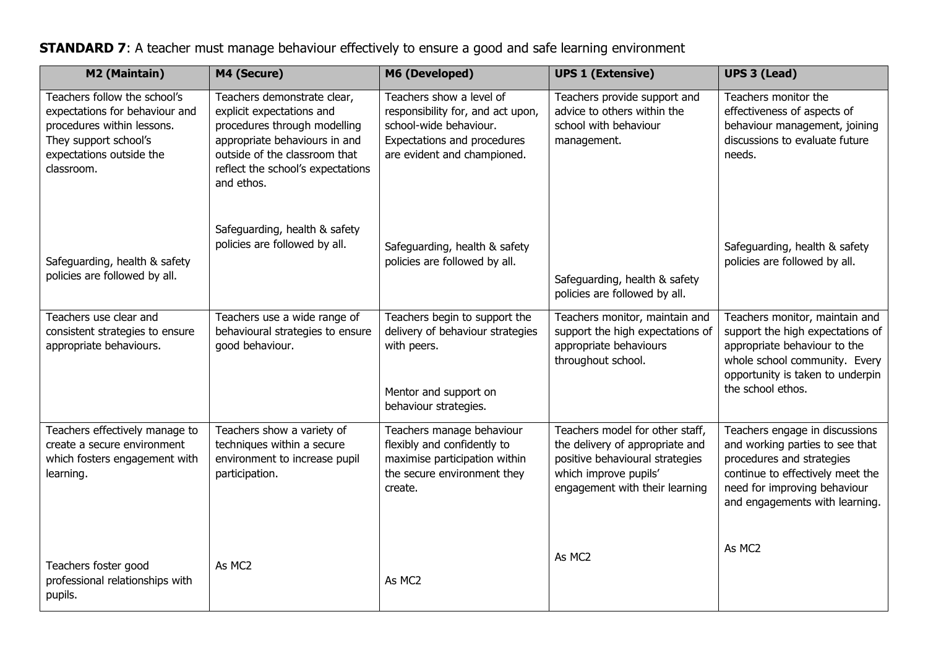## **STANDARD 7:** A teacher must manage behaviour effectively to ensure a good and safe learning environment

| M2 (Maintain)                                                                                                                                                   | M4 (Secure)                                                                                                                                                                                                   | M6 (Developed)                                                                                                                                        | <b>UPS 1 (Extensive)</b>                                                                                                                                         | <b>UPS 3 (Lead)</b>                                                                                                                                                                                  |
|-----------------------------------------------------------------------------------------------------------------------------------------------------------------|---------------------------------------------------------------------------------------------------------------------------------------------------------------------------------------------------------------|-------------------------------------------------------------------------------------------------------------------------------------------------------|------------------------------------------------------------------------------------------------------------------------------------------------------------------|------------------------------------------------------------------------------------------------------------------------------------------------------------------------------------------------------|
| Teachers follow the school's<br>expectations for behaviour and<br>procedures within lessons.<br>They support school's<br>expectations outside the<br>classroom. | Teachers demonstrate clear,<br>explicit expectations and<br>procedures through modelling<br>appropriate behaviours in and<br>outside of the classroom that<br>reflect the school's expectations<br>and ethos. | Teachers show a level of<br>responsibility for, and act upon,<br>school-wide behaviour.<br>Expectations and procedures<br>are evident and championed. | Teachers provide support and<br>advice to others within the<br>school with behaviour<br>management.                                                              | Teachers monitor the<br>effectiveness of aspects of<br>behaviour management, joining<br>discussions to evaluate future<br>needs.                                                                     |
| Safeguarding, health & safety<br>policies are followed by all.                                                                                                  | Safeguarding, health & safety<br>policies are followed by all.                                                                                                                                                | Safeguarding, health & safety<br>policies are followed by all.                                                                                        | Safeguarding, health & safety<br>policies are followed by all.                                                                                                   | Safeguarding, health & safety<br>policies are followed by all.                                                                                                                                       |
| Teachers use clear and<br>consistent strategies to ensure<br>appropriate behaviours.                                                                            | Teachers use a wide range of<br>behavioural strategies to ensure<br>good behaviour.                                                                                                                           | Teachers begin to support the<br>delivery of behaviour strategies<br>with peers.<br>Mentor and support on<br>behaviour strategies.                    | Teachers monitor, maintain and<br>support the high expectations of<br>appropriate behaviours<br>throughout school.                                               | Teachers monitor, maintain and<br>support the high expectations of<br>appropriate behaviour to the<br>whole school community. Every<br>opportunity is taken to underpin<br>the school ethos.         |
| Teachers effectively manage to<br>create a secure environment<br>which fosters engagement with<br>learning.                                                     | Teachers show a variety of<br>techniques within a secure<br>environment to increase pupil<br>participation.                                                                                                   | Teachers manage behaviour<br>flexibly and confidently to<br>maximise participation within<br>the secure environment they<br>create.                   | Teachers model for other staff,<br>the delivery of appropriate and<br>positive behavioural strategies<br>which improve pupils'<br>engagement with their learning | Teachers engage in discussions<br>and working parties to see that<br>procedures and strategies<br>continue to effectively meet the<br>need for improving behaviour<br>and engagements with learning. |
| Teachers foster good<br>professional relationships with<br>pupils.                                                                                              | As MC2                                                                                                                                                                                                        | As MC2                                                                                                                                                | As MC2                                                                                                                                                           | As MC2                                                                                                                                                                                               |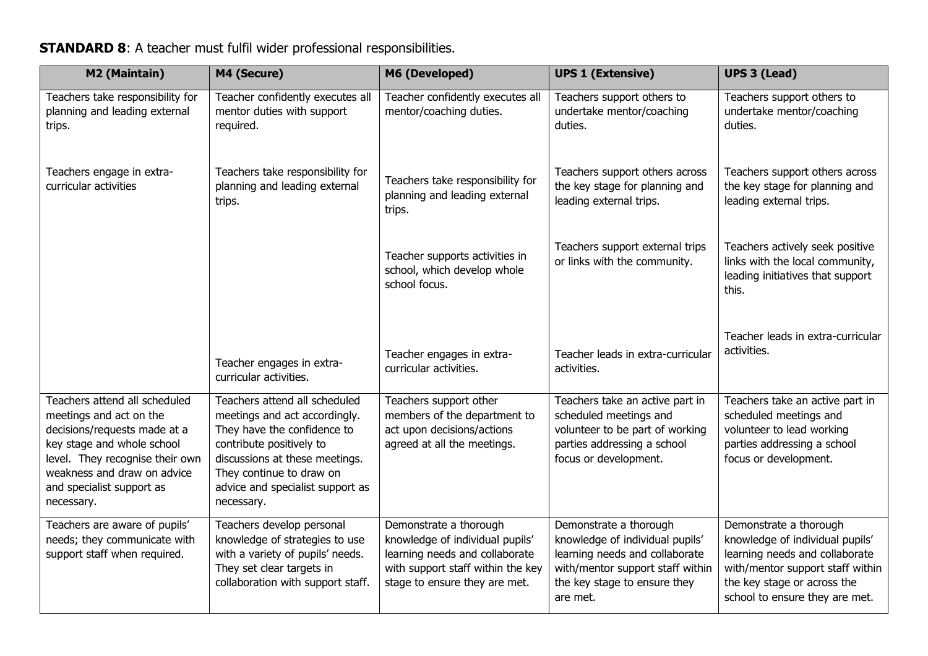### **STANDARD 8**: A teacher must fulfil wider professional responsibilities.

| M2 (Maintain)                                                                                                                                                                                                                       | M4 (Secure)                                                                                                                                                                                                                               | M6 (Developed)                                                                                                                                                    | <b>UPS 1 (Extensive)</b>                                                                                                                                                    | <b>UPS 3 (Lead)</b>                                                                                                                                                                              |
|-------------------------------------------------------------------------------------------------------------------------------------------------------------------------------------------------------------------------------------|-------------------------------------------------------------------------------------------------------------------------------------------------------------------------------------------------------------------------------------------|-------------------------------------------------------------------------------------------------------------------------------------------------------------------|-----------------------------------------------------------------------------------------------------------------------------------------------------------------------------|--------------------------------------------------------------------------------------------------------------------------------------------------------------------------------------------------|
| Teachers take responsibility for<br>planning and leading external<br>trips.                                                                                                                                                         | Teacher confidently executes all<br>mentor duties with support<br>required.                                                                                                                                                               | Teacher confidently executes all<br>mentor/coaching duties.                                                                                                       | Teachers support others to<br>undertake mentor/coaching<br>duties.                                                                                                          | Teachers support others to<br>undertake mentor/coaching<br>duties.                                                                                                                               |
| Teachers engage in extra-<br>curricular activities                                                                                                                                                                                  | Teachers take responsibility for<br>planning and leading external<br>trips.                                                                                                                                                               | Teachers take responsibility for<br>planning and leading external<br>trips.                                                                                       | Teachers support others across<br>the key stage for planning and<br>leading external trips.                                                                                 | Teachers support others across<br>the key stage for planning and<br>leading external trips.                                                                                                      |
|                                                                                                                                                                                                                                     |                                                                                                                                                                                                                                           | Teacher supports activities in<br>school, which develop whole<br>school focus.                                                                                    | Teachers support external trips<br>or links with the community.                                                                                                             | Teachers actively seek positive<br>links with the local community,<br>leading initiatives that support<br>this.                                                                                  |
|                                                                                                                                                                                                                                     | Teacher engages in extra-<br>curricular activities.                                                                                                                                                                                       | Teacher engages in extra-<br>curricular activities.                                                                                                               | Teacher leads in extra-curricular<br>activities.                                                                                                                            | Teacher leads in extra-curricular<br>activities.                                                                                                                                                 |
| Teachers attend all scheduled<br>meetings and act on the<br>decisions/requests made at a<br>key stage and whole school<br>level. They recognise their own<br>weakness and draw on advice<br>and specialist support as<br>necessary. | Teachers attend all scheduled<br>meetings and act accordingly.<br>They have the confidence to<br>contribute positively to<br>discussions at these meetings.<br>They continue to draw on<br>advice and specialist support as<br>necessary. | Teachers support other<br>members of the department to<br>act upon decisions/actions<br>agreed at all the meetings.                                               | Teachers take an active part in<br>scheduled meetings and<br>volunteer to be part of working<br>parties addressing a school<br>focus or development.                        | Teachers take an active part in<br>scheduled meetings and<br>volunteer to lead working<br>parties addressing a school<br>focus or development.                                                   |
| Teachers are aware of pupils'<br>needs; they communicate with<br>support staff when required.                                                                                                                                       | Teachers develop personal<br>knowledge of strategies to use<br>with a variety of pupils' needs.<br>They set clear targets in<br>collaboration with support staff.                                                                         | Demonstrate a thorough<br>knowledge of individual pupils'<br>learning needs and collaborate<br>with support staff within the key<br>stage to ensure they are met. | Demonstrate a thorough<br>knowledge of individual pupils'<br>learning needs and collaborate<br>with/mentor support staff within<br>the key stage to ensure they<br>are met. | Demonstrate a thorough<br>knowledge of individual pupils'<br>learning needs and collaborate<br>with/mentor support staff within<br>the key stage or across the<br>school to ensure they are met. |